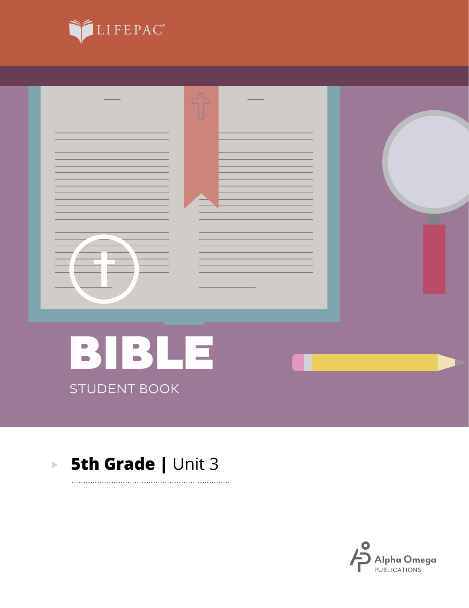



. . . . . . . . . .

### **5th Grade | Unit 3**  $\mathbf{E}^{(1)}$

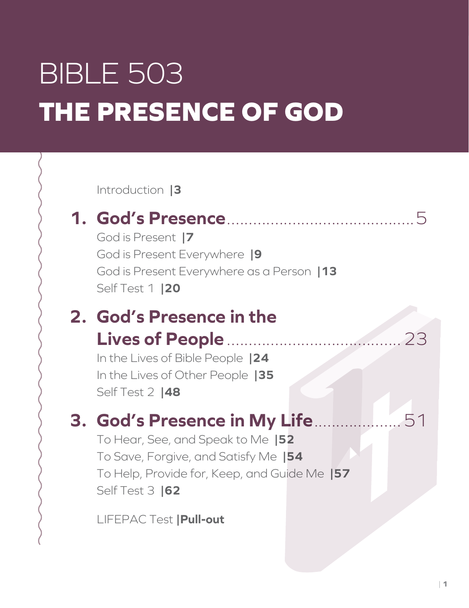# BIBLE 503 **THE PRESENCE OF GOD**

Introduction **|3**

## **1. God's Presence**...........................................5

God is Present **|7** God is Present Everywhere **|9** God is Present Everywhere as a Person **|13** Self Test 1 **|20**

## **2. God's Presence in the Lives of People** ........................................23

In the Lives of Bible People **|24** In the Lives of Other People **|35** Self Test 2 **|48**

## **3. God's Presence in My Life**....................51

To Hear, See, and Speak to Me **|52** To Save, Forgive, and Satisfy Me **|54** To Help, Provide for, Keep, and Guide Me **|57** Self Test 3 **|62**

LIFEPAC Test **|Pull-out**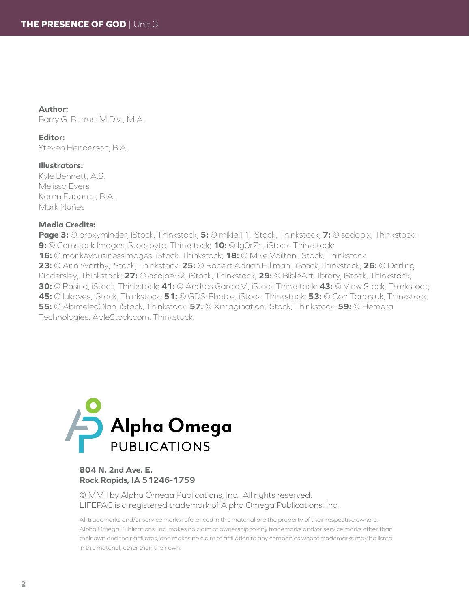### **Author:**

Barry G. Burrus, M.Div., M.A.

#### **Editor:**

Steven Henderson, B.A.

### **Illustrators:**

Kyle Bennett, A.S. Melissa Evers Karen Eubanks, B.A. Mark Nuñes

### **Media Credits:**

**Page 3:** © proxyminder, iStock, Thinkstock; **5:** © mikie11, iStock, Thinkstock; **7:** © sodapix, Thinkstock; **9:** © Comstock Images, Stockbyte, Thinkstock; **10:** © Ig0rZh, iStock, Thinkstock; **16:** © monkeybusinessimages, iStock, Thinkstock; **18:** © Mike Vailton, iStock, Thinkstock **23:** © Ann Worthy, iStock, Thinkstock; **25:** © Robert Adrian Hillman , iStock,Thinkstock; **26:** © Dorling Kindersley, Thinkstock; **27:** © acajoe52, iStock, Thinkstock; **29:** © BibleArtLibrary, iStock, Thinkstock; **30:** © Rasica, iStock, Thinkstock; **41:** © Andres GarciaM, iStock Thinkstock; **43:** © View Stock, Thinkstock; **45:** © lukaves, iStock, Thinkstock; **51:** © GDS-Photos, iStock, Thinkstock; **53:** © Con Tanasiuk, Thinkstock; **55:** © AbimelecOlan, iStock, Thinkstock; **57:** © Ximagination, iStock, Thinkstock; **59:** © Hemera Technologies, AbleStock.com, Thinkstock.



### **804 N. 2nd Ave. E. Rock Rapids, IA 51246-1759**

© MMII by Alpha Omega Publications, Inc. All rights reserved. LIFEPAC is a registered trademark of Alpha Omega Publications, Inc.

All trademarks and/or service marks referenced in this material are the property of their respective owners. Alpha Omega Publications, Inc. makes no claim of ownership to any trademarks and/or service marks other than their own and their affiliates, and makes no claim of affiliation to any companies whose trademarks may be listed in this material, other than their own.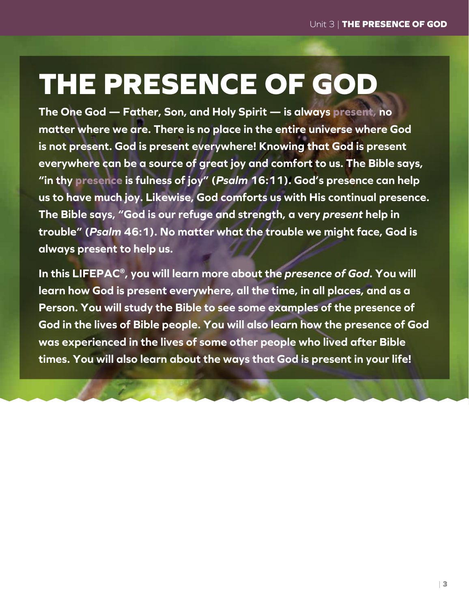# **THE PRESENCE OF GOD**

**The One God — Father, Son, and Holy Spirit — is always present, no matter where we are. There is no place in the entire universe where God is not present. God is present everywhere! Knowing that God is present everywhere can be a source of great joy and comfort to us. The Bible says, "in thy presence is fulness of joy" (***Psalm* **16:11). God's presence can help us to have much joy. Likewise, God comforts us with His continual presence. The Bible says, "God is our refuge and strength, a very** *present* **help in trouble" (***Psalm* **46:1). No matter what the trouble we might face, God is always present to help us.**

**In this LIFEPAC®, you will learn more about the** *presence of God***. You will learn how God is present everywhere, all the time, in all places, and as a Person. You will study the Bible to see some examples of the presence of God in the lives of Bible people. You will also learn how the presence of God was experienced in the lives of some other people who lived after Bible times. You will also learn about the ways that God is present in your life!**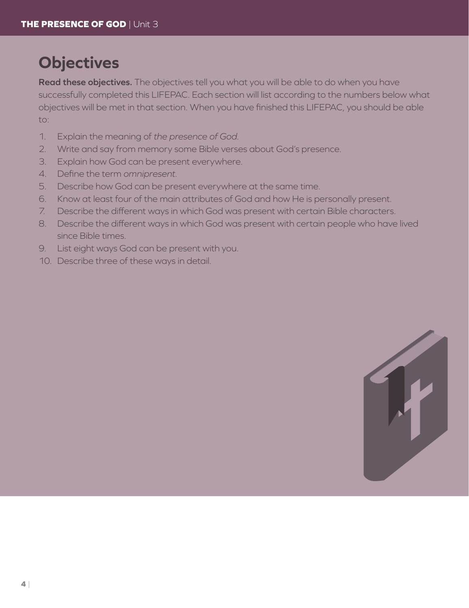## **Objectives**

**Read these objectives.** The objectives tell you what you will be able to do when you have successfully completed this LIFEPAC. Each section will list according to the numbers below what objectives will be met in that section. When you have finished this LIFEPAC, you should be able to:

- 1. Explain the meaning of *the presence of God*.
- 2. Write and say from memory some Bible verses about God's presence.
- 3. Explain how God can be present everywhere.
- 4. Define the term *omnipresent*.
- 5. Describe how God can be present everywhere at the same time.
- 6. Know at least four of the main attributes of God and how He is personally present.
- 7. Describe the different ways in which God was present with certain Bible characters.
- 8. Describe the different ways in which God was present with certain people who have lived since Bible times.
- 9. List eight ways God can be present with you.
- 10. Describe three of these ways in detail.

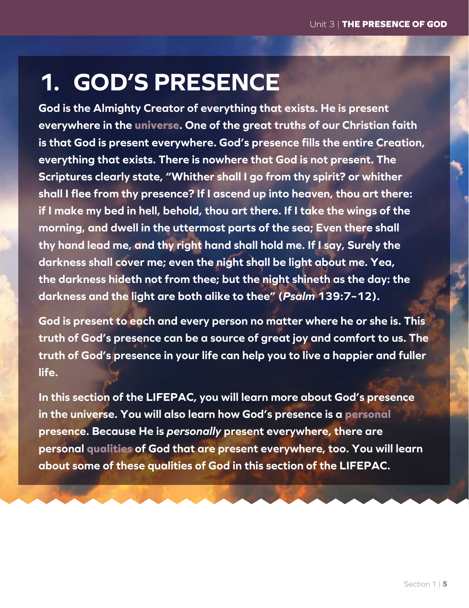## **1. GOD'S PRESENCE**

**God is the Almighty Creator of everything that exists. He is present everywhere in the universe. One of the great truths of our Christian faith is that God is present everywhere. God's presence fills the entire Creation, everything that exists. There is nowhere that God is not present. The Scriptures clearly state, "Whither shall I go from thy spirit? or whither shall I flee from thy presence? If I ascend up into heaven, thou art there: if I make my bed in hell, behold, thou art there. If I take the wings of the morning, and dwell in the uttermost parts of the sea; Even there shall thy hand lead me, and thy right hand shall hold me. If I say, Surely the darkness shall cover me; even the night shall be light about me. Yea, the darkness hideth not from thee; but the night shineth as the day: the darkness and the light are both alike to thee" (***Psalm* **139:7–12).**

**God is present to each and every person no matter where he or she is. This truth of God's presence can be a source of great joy and comfort to us. The truth of God's presence in your life can help you to live a happier and fuller life.**

**In this section of the LIFEPAC, you will learn more about God's presence in the universe. You will also learn how God's presence is a personal presence. Because He is** *personally* **present everywhere, there are personal qualities of God that are present everywhere, too. You will learn about some of these qualities of God in this section of the LIFEPAC.**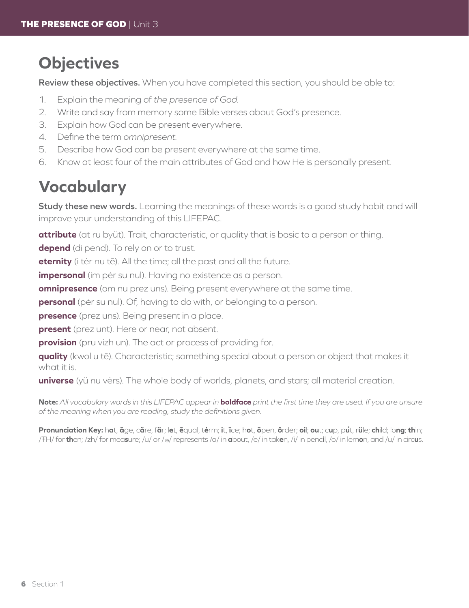## **Objectives**

**Review these objectives.** When you have completed this section, you should be able to:

- 1. Explain the meaning of *the presence of God.*
- 2. Write and say from memory some Bible verses about God's presence.
- 3. Explain how God can be present everywhere.
- 4. Define the term *omnipresent.*
- 5. Describe how God can be present everywhere at the same time.
- 6. Know at least four of the main attributes of God and how He is personally present.

## **Vocabulary**

**Study these new words.** Learning the meanings of these words is a good study habit and will improve your understanding of this LIFEPAC.

**attribute** (at ru byüt). Trait, characteristic, or quality that is basic to a person or thing.

**depend** (di pend). To rely on or to trust.

**eternity** (i tėr nu tē). All the time; all the past and all the future.

**impersonal** (im pėr su nul). Having no existence as a person.

**omnipresence** (om nu prez uns). Being present everywhere at the same time.

**personal** (pėr su nul). Of, having to do with, or belonging to a person.

**presence** (prez uns). Being present in a place.

**present** (prez unt). Here or near, not absent.

**provision** (pru vizh un). The act or process of providing for.

**quality** (kwol u tē). Characteristic; something special about a person or object that makes it what it is.

**universe** (yü nu vėrs). The whole body of worlds, planets, and stars; all material creation.

**Note:** *All vocabulary words in this LIFEPAC appear in* **boldface** *print the first time they are used. If you are unsure of the meaning when you are reading, study the definitions given.*

Pronunciation Key: hat, āge, cãre, fär; let, ēqual, tėrm; it, īce; hot, ōpen, ôrder; oil; out; cup, put, rüle; child; long; thin; /ŦH/ for **th**en; /zh/ for mea**s**ure; /u/ or / <sup>e</sup> / represents /a/ in **a**bout, /e/ in tak**e**n, /i/ in penc**i**l, /o/ in lem**o**n, and /u/ in circ**u**s.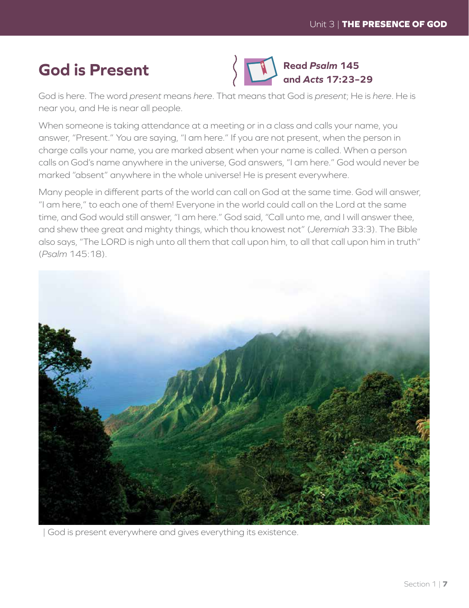## **God is Present**



God is here. The word *present* means *here*. That means that God is *present*; He is *here*. He is near you, and He is near all people.

When someone is taking attendance at a meeting or in a class and calls your name, you answer, "Present." You are saying, "I am here." If you are not present, when the person in charge calls your name, you are marked absent when your name is called. When a person calls on God's name anywhere in the universe, God answers, "I am here." God would never be marked "absent" anywhere in the whole universe! He is present everywhere.

Many people in different parts of the world can call on God at the same time. God will answer, "I am here," to each one of them! Everyone in the world could call on the Lord at the same time, and God would still answer, "I am here." God said, "Call unto me, and I will answer thee, and shew thee great and mighty things, which thou knowest not" (*Jeremiah* 33:3). The Bible also says, "The LORD is nigh unto all them that call upon him, to all that call upon him in truth" (*Psalm* 145:18).



| God is present everywhere and gives everything its existence.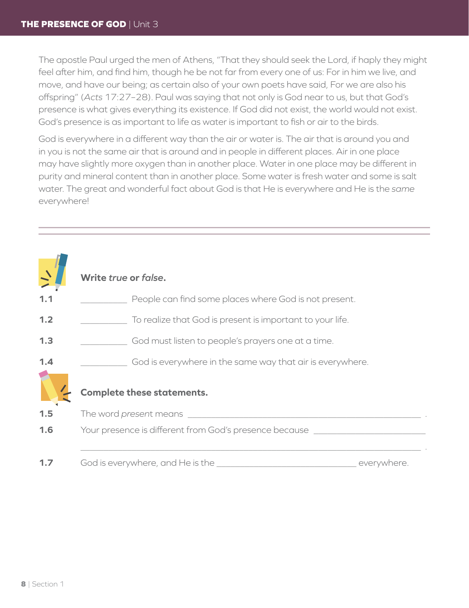The apostle Paul urged the men of Athens, "That they should seek the Lord, if haply they might feel after him, and find him, though he be not far from every one of us: For in him we live, and move, and have our being; as certain also of your own poets have said, For we are also his offspring" (*Acts* 17:27–28). Paul was saying that not only is God near to us, but that God's presence is what gives everything its existence. If God did not exist, the world would not exist. God's presence is as important to life as water is important to fish or air to the birds.

God is everywhere in a different way than the air or water is. The air that is around you and in you is not the same air that is around and in people in different places. Air in one place may have slightly more oxygen than in another place. Water in one place may be different in purity and mineral content than in another place. Some water is fresh water and some is salt water. The great and wonderful fact about God is that He is everywhere and He is the *same*  everywhere!

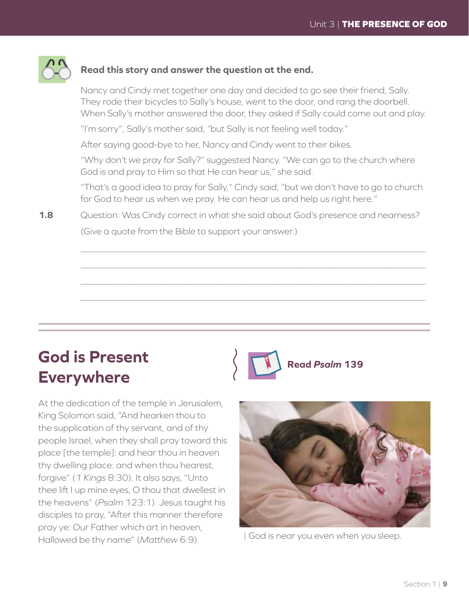

### **Read this story and answer the question at the end.**

Nancy and Cindy met together one day and decided to go see their friend, Sally. They rode their bicycles to Sally's house, went to the door, and rang the doorbell. When Sally's mother answered the door, they asked if Sally could come out and play.

"I'm sorry", Sally's mother said, "but Sally is not feeling well today."

After saying good-bye to her, Nancy and Cindy went to their bikes.

"Why don't we pray for Sally?" suggested Nancy. "We can go to the church where God is and pray to Him so that He can hear us," she said.

"That's a good idea to pray for Sally," Cindy said, "but we don't have to go to church for God to hear us when we pray. He can hear us and help us right here."

**1.8** Question: Was Cindy correct in what she said about God's presence and nearness? (Give a quote from the Bible to support your answer.)

## **God is Present Everywhere**

 $\overline{\phantom{a}}$ 

 $\overline{\phantom{a}}$ 

 $\overline{\phantom{a}}$ 

 $\overline{\phantom{a}}$ 

At the dedication of the temple in Jerusalem, King Solomon said, "And hearken thou to the supplication of thy servant, and of thy people Israel, when they shall pray toward this place [the temple]: and hear thou in heaven thy dwelling place: and when thou hearest, forgive" (*1 Kings* 8:30). It also says, "Unto thee lift I up mine eyes, O thou that dwellest in the heavens" (*Psalm* 123:1). Jesus taught his disciples to pray, "After this manner therefore pray ye: Our Father which art in heaven, Hallowed be thy name" (*Matthew* 6:9).





| God is near you even when you sleep.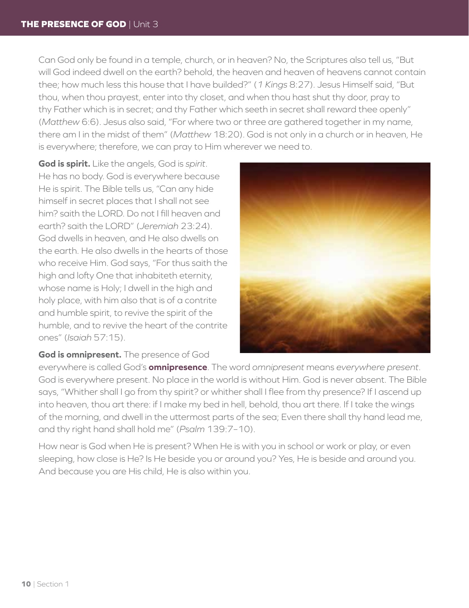Can God only be found in a temple, church, or in heaven? No, the Scriptures also tell us, "But will God indeed dwell on the earth? behold, the heaven and heaven of heavens cannot contain thee; how much less this house that I have builded?" (*1 Kings* 8:27). Jesus Himself said, "But thou, when thou prayest, enter into thy closet, and when thou hast shut thy door, pray to thy Father which is in secret; and thy Father which seeth in secret shall reward thee openly" (*Matthew* 6:6). Jesus also said, "For where two or three are gathered together in my name, there am I in the midst of them" (*Matthew* 18:20). God is not only in a church or in heaven, He is everywhere; therefore, we can pray to Him wherever we need to.

**God is spirit.** Like the angels, God is *spirit*. He has no body. God is everywhere because He is spirit. The Bible tells us, "Can any hide himself in secret places that I shall not see him? saith the LORD. Do not I fill heaven and earth? saith the LORD" (*Jeremiah* 23:24). God dwells in heaven, and He also dwells on the earth. He also dwells in the hearts of those who receive Him. God says, "For thus saith the high and lofty One that inhabiteth eternity, whose name is Holy; I dwell in the high and holy place, with him also that is of a contrite and humble spirit, to revive the spirit of the humble, and to revive the heart of the contrite ones" (*Isaiah* 57:15).



### **God is omnipresent.** The presence of God

everywhere is called God's **omnipresence**. The word *omnipresent* means *everywhere present*. God is everywhere present. No place in the world is without Him. God is never absent. The Bible says, "Whither shall I go from thy spirit? or whither shall I flee from thy presence? If I ascend up into heaven, thou art there: if I make my bed in hell, behold, thou art there. If I take the wings of the morning, and dwell in the uttermost parts of the sea; Even there shall thy hand lead me, and thy right hand shall hold me" (*Psalm* 139:7–10).

How near is God when He is present? When He is with you in school or work or play, or even sleeping, how close is He? Is He beside you or around you? Yes, He is beside and around you. And because you are His child, He is also within you.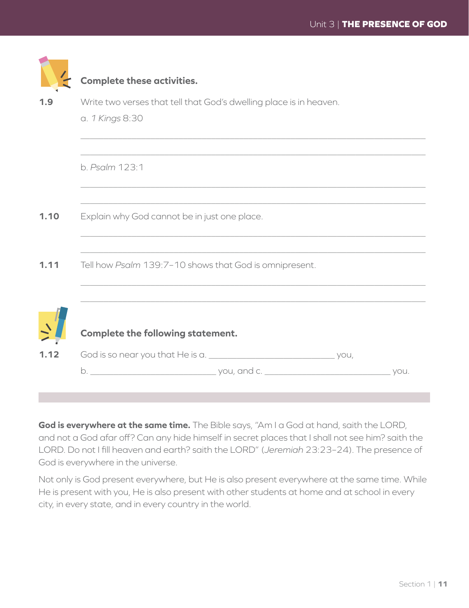|      | <b>Complete these activities.</b>                                  |  |  |  |
|------|--------------------------------------------------------------------|--|--|--|
| 1.9  | Write two verses that tell that God's dwelling place is in heaven. |  |  |  |
|      | a. 1 Kings 8:30                                                    |  |  |  |
|      |                                                                    |  |  |  |
|      | b. Psalm 123:1                                                     |  |  |  |
|      |                                                                    |  |  |  |
| 1.10 | Explain why God cannot be in just one place.                       |  |  |  |
|      |                                                                    |  |  |  |
| 1.11 | Tell how Psalm 139:7-10 shows that God is omnipresent.             |  |  |  |
|      |                                                                    |  |  |  |
|      | <b>Complete the following statement.</b>                           |  |  |  |
|      |                                                                    |  |  |  |
|      | b.<br>you.                                                         |  |  |  |

**God is everywhere at the same time.** The Bible says, "Am I a God at hand, saith the LORD, and not a God afar off? Can any hide himself in secret places that I shall not see him? saith the LORD. Do not I fill heaven and earth? saith the LORD" (*Jeremiah* 23:23–24). The presence of God is everywhere in the universe.

Not only is God present everywhere, but He is also present everywhere at the same time. While He is present with you, He is also present with other students at home and at school in every city, in every state, and in every country in the world.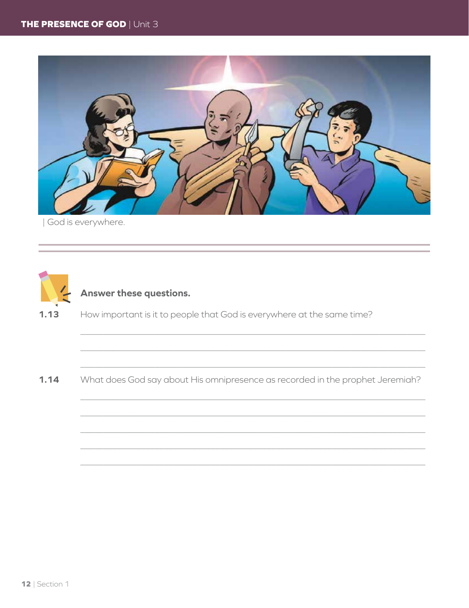

| God is everywhere.



### Answer these questions.

How important is it to people that God is everywhere at the same time?  $1.13$ 

What does God say about His omnipresence as recorded in the prophet Jeremiah?  $1.14$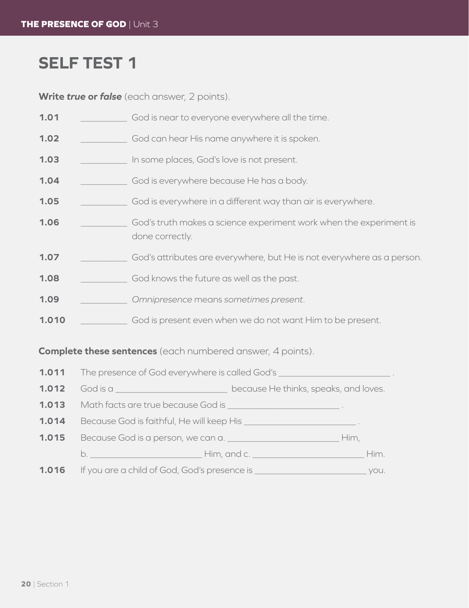## **SELF TEST 1**

Write true or false (each answer, 2 points).

| 1.01  | God is near to everyone everywhere all the time.                                      |
|-------|---------------------------------------------------------------------------------------|
| 1.02  | God can hear His name anywhere it is spoken.                                          |
| 1.03  | In some places, God's love is not present.                                            |
| 1.04  | God is everywhere because He has a body.                                              |
| 1.05  | God is everywhere in a different way than air is everywhere.                          |
| 1.06  | God's truth makes a science experiment work when the experiment is<br>done correctly. |
| 1.07  | God's attributes are everywhere, but He is not everywhere as a person.                |
| 1.08  | God knows the future as well as the past.                                             |
| 1.09  | Omnipresence means sometimes present.                                                 |
| 1.010 | God is present even when we do not want Him to be present.                            |
|       |                                                                                       |

### **Complete these sentences** (each numbered answer, 4 points).

|       | <b>1.011</b> The presence of God everywhere is called God's                                                    |                                       |      |
|-------|----------------------------------------------------------------------------------------------------------------|---------------------------------------|------|
| 1.012 | God is a                                                                                                       | because He thinks, speaks, and loves. |      |
| 1.013 | Math facts are true because God is ________________________________.                                           |                                       |      |
| 1.014 | Because God is faithful, He will keep His __________________________.                                          |                                       |      |
| 1.015 | Because God is a person, we can a.                                                                             |                                       | Him, |
|       |                                                                                                                |                                       | Him. |
| 1.016 | If you are a child of God, God's presence is which we have a set of the set of the set of the set of the set o |                                       | VOU. |
|       |                                                                                                                |                                       |      |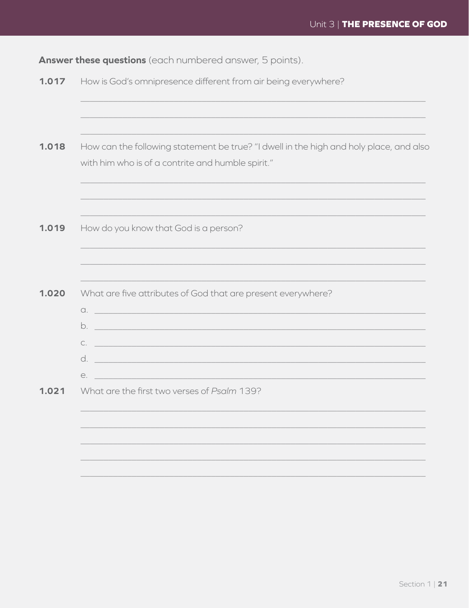Answer these questions (each numbered answer, 5 points).

| How can the following statement be true? "I dwell in the high and holy place, and also |
|----------------------------------------------------------------------------------------|
| with him who is of a contrite and humble spirit."                                      |
|                                                                                        |
| How do you know that God is a person?                                                  |
| What are five attributes of God that are present everywhere?                           |
| $\alpha$ .                                                                             |
|                                                                                        |
| $e.$ $-$                                                                               |
| What are the first two verses of Psalm 139?                                            |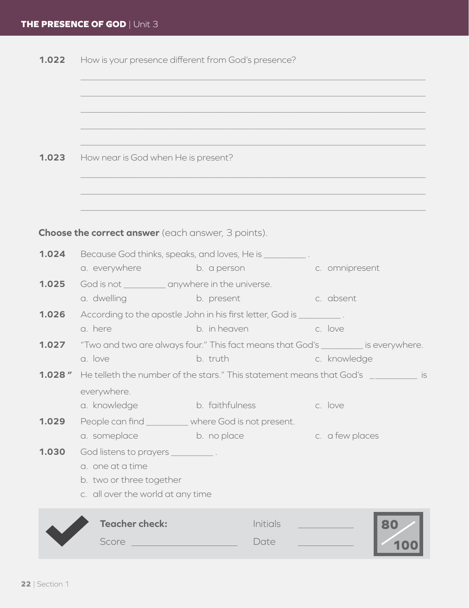|              | <b>1.022</b> How is your presence different from God's presence?                                                                                                  |                                                                                               |                                                                                                    |  |  |
|--------------|-------------------------------------------------------------------------------------------------------------------------------------------------------------------|-----------------------------------------------------------------------------------------------|----------------------------------------------------------------------------------------------------|--|--|
| 1.023        | How near is God when He is present?                                                                                                                               |                                                                                               |                                                                                                    |  |  |
|              | <b>Choose the correct answer</b> (each answer, 3 points).                                                                                                         |                                                                                               |                                                                                                    |  |  |
| 1.024        |                                                                                                                                                                   | Because God thinks, speaks, and loves, He is ___________.<br>a. everywhere b. a person        | c. omnipresent                                                                                     |  |  |
| 1.025        | God is not __________ anywhere in the universe.<br>a. dwelling and a state of the state of the state of the state of the state of the state of the state of the s | b. present                                                                                    | c. absent                                                                                          |  |  |
| 1.026        | a. here                                                                                                                                                           | According to the apostle John in his first letter, God is __________.<br>b. in heaven b. love |                                                                                                    |  |  |
| 1.027        | a. love                                                                                                                                                           | b. truth                                                                                      | "Two and two are always four." This fact means that God's _________ is everywhere.<br>c. knowledge |  |  |
| $1.028$ $''$ | everywhere.<br>a. knowledge                                                                                                                                       | <b>Example 12 Strategies</b> b. faithfulness                                                  | He telleth the number of the stars." This statement means that God's __________ is<br>c. love      |  |  |
| 1.029        | a. someplace                                                                                                                                                      | People can find _________ where God is not present.<br>b. no place                            | c. a few places                                                                                    |  |  |
| 1.030        | God listens to prayers ____________.<br>a. one at a time<br>b. two or three together<br>c. all over the world at any time                                         |                                                                                               |                                                                                                    |  |  |
|              | <b>Teacher check:</b><br>Score                                                                                                                                    | Initials<br>Date                                                                              |                                                                                                    |  |  |